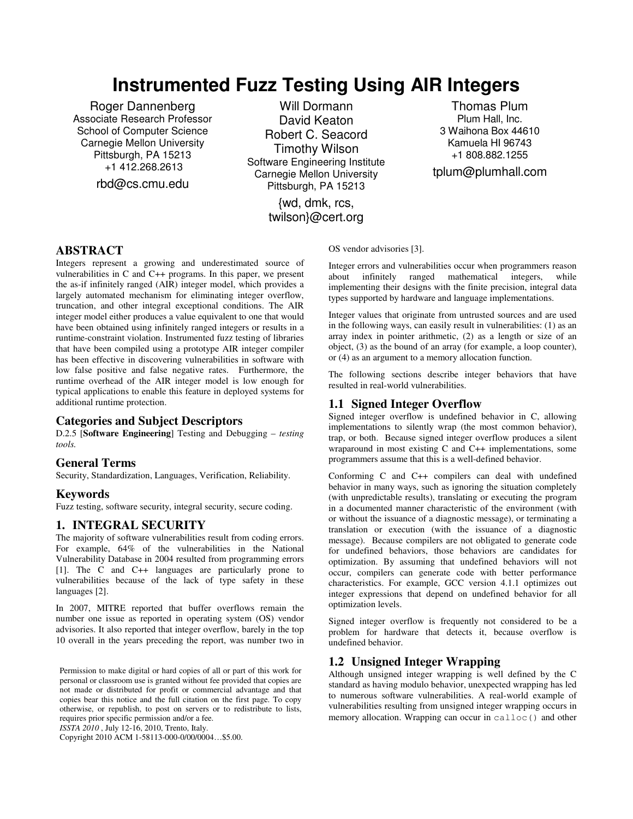# **Instrumented Fuzz Testing Using AIR Integers**

Roger Dannenberg Associate Research Professor School of Computer Science Carnegie Mellon University Pittsburgh, PA 15213 +1 412.268.2613

rbd@cs.cmu.edu

Will Dormann David Keaton Robert C. Seacord Timothy Wilson Software Engineering Institute Carnegie Mellon University Pittsburgh, PA 15213

> {wd, dmk, rcs, twilson}@cert.org

Thomas Plum Plum Hall, Inc. 3 Waihona Box 44610 Kamuela HI 96743 +1 808.882.1255

tplum@plumhall.com

# **ABSTRACT**

Integers represent a growing and underestimated source of vulnerabilities in C and C++ programs. In this paper, we present the as-if infinitely ranged (AIR) integer model, which provides a largely automated mechanism for eliminating integer overflow, truncation, and other integral exceptional conditions. The AIR integer model either produces a value equivalent to one that would have been obtained using infinitely ranged integers or results in a runtime-constraint violation. Instrumented fuzz testing of libraries that have been compiled using a prototype AIR integer compiler has been effective in discovering vulnerabilities in software with low false positive and false negative rates. Furthermore, the runtime overhead of the AIR integer model is low enough for typical applications to enable this feature in deployed systems for additional runtime protection.

# **Categories and Subject Descriptors**

D.2.5 [**Software Engineering**] Testing and Debugging – *testing tools.* 

### **General Terms**

Security, Standardization, Languages, Verification, Reliability.

### **Keywords**

Fuzz testing, software security, integral security, secure coding.

### **1. INTEGRAL SECURITY**

The majority of software vulnerabilities result from coding errors. For example, 64% of the vulnerabilities in the National Vulnerability Database in 2004 resulted from programming errors [1]. The C and C++ languages are particularly prone to vulnerabilities because of the lack of type safety in these languages [2].

In 2007, MITRE reported that buffer overflows remain the number one issue as reported in operating system (OS) vendor advisories. It also reported that integer overflow, barely in the top 10 overall in the years preceding the report, was number two in

Permission to make digital or hard copies of all or part of this work for personal or classroom use is granted without fee provided that copies are not made or distributed for profit or commercial advantage and that copies bear this notice and the full citation on the first page. To copy otherwise, or republish, to post on servers or to redistribute to lists, requires prior specific permission and/or a fee.

*ISSTA 2010* , July 12-16, 2010, Trento, Italy.

Copyright 2010 ACM 1-58113-000-0/00/0004…\$5.00.

OS vendor advisories [3].

Integer errors and vulnerabilities occur when programmers reason about infinitely ranged mathematical integers, while implementing their designs with the finite precision, integral data types supported by hardware and language implementations.

Integer values that originate from untrusted sources and are used in the following ways, can easily result in vulnerabilities: (1) as an array index in pointer arithmetic, (2) as a length or size of an object, (3) as the bound of an array (for example, a loop counter), or (4) as an argument to a memory allocation function.

The following sections describe integer behaviors that have resulted in real-world vulnerabilities.

## **1.1 Signed Integer Overflow**

Signed integer overflow is undefined behavior in C, allowing implementations to silently wrap (the most common behavior), trap, or both. Because signed integer overflow produces a silent wraparound in most existing C and C++ implementations, some programmers assume that this is a well-defined behavior.

Conforming C and C++ compilers can deal with undefined behavior in many ways, such as ignoring the situation completely (with unpredictable results), translating or executing the program in a documented manner characteristic of the environment (with or without the issuance of a diagnostic message), or terminating a translation or execution (with the issuance of a diagnostic message). Because compilers are not obligated to generate code for undefined behaviors, those behaviors are candidates for optimization. By assuming that undefined behaviors will not occur, compilers can generate code with better performance characteristics. For example, GCC version 4.1.1 optimizes out integer expressions that depend on undefined behavior for all optimization levels.

Signed integer overflow is frequently not considered to be a problem for hardware that detects it, because overflow is undefined behavior.

# **1.2 Unsigned Integer Wrapping**

Although unsigned integer wrapping is well defined by the C standard as having modulo behavior, unexpected wrapping has led to numerous software vulnerabilities. A real-world example of vulnerabilities resulting from unsigned integer wrapping occurs in memory allocation. Wrapping can occur in calloc() and other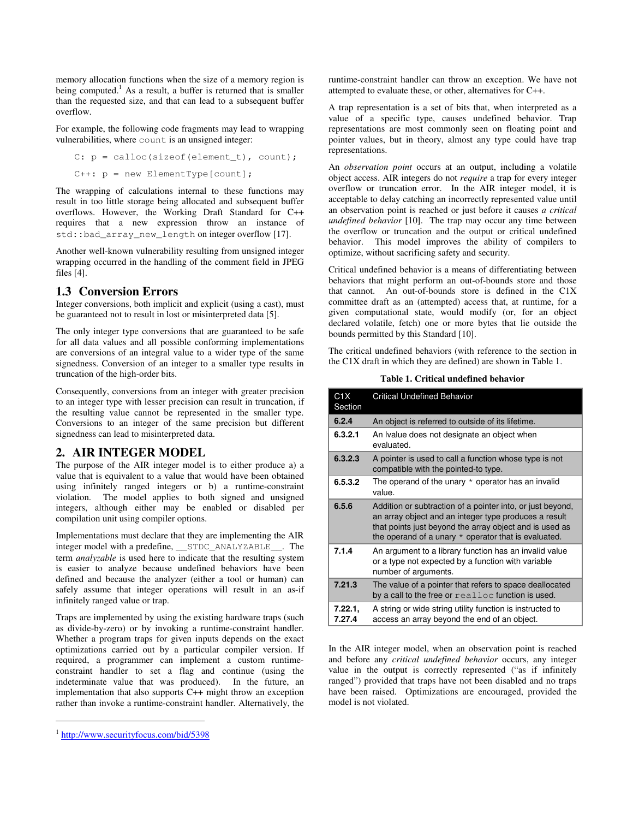memory allocation functions when the size of a memory region is being computed.<sup>1</sup> As a result, a buffer is returned that is smaller than the requested size, and that can lead to a subsequent buffer overflow.

For example, the following code fragments may lead to wrapping vulnerabilities, where count is an unsigned integer:

C: 
$$
p = \text{calloc}(\text{sizeof}(\text{element}_t), \text{count});
$$
  
C++:  $p = \text{new ElementType}[\text{count}];$ 

The wrapping of calculations internal to these functions may result in too little storage being allocated and subsequent buffer overflows. However, the Working Draft Standard for C++ requires that a new expression throw an instance of std::bad\_array\_new\_length on integer overflow [17].

Another well-known vulnerability resulting from unsigned integer wrapping occurred in the handling of the comment field in JPEG files [4].

# **1.3 Conversion Errors**

Integer conversions, both implicit and explicit (using a cast), must be guaranteed not to result in lost or misinterpreted data [5].

The only integer type conversions that are guaranteed to be safe for all data values and all possible conforming implementations are conversions of an integral value to a wider type of the same signedness. Conversion of an integer to a smaller type results in truncation of the high-order bits.

Consequently, conversions from an integer with greater precision to an integer type with lesser precision can result in truncation, if the resulting value cannot be represented in the smaller type. Conversions to an integer of the same precision but different signedness can lead to misinterpreted data.

# **2. AIR INTEGER MODEL**

The purpose of the AIR integer model is to either produce a) a value that is equivalent to a value that would have been obtained using infinitely ranged integers or b) a runtime-constraint violation. The model applies to both signed and unsigned integers, although either may be enabled or disabled per compilation unit using compiler options.

Implementations must declare that they are implementing the AIR integer model with a predefine, \_\_STDC\_ANALYZABLE\_\_. The term *analyzable* is used here to indicate that the resulting system is easier to analyze because undefined behaviors have been defined and because the analyzer (either a tool or human) can safely assume that integer operations will result in an as-if infinitely ranged value or trap.

Traps are implemented by using the existing hardware traps (such as divide-by-zero) or by invoking a runtime-constraint handler. Whether a program traps for given inputs depends on the exact optimizations carried out by a particular compiler version. If required, a programmer can implement a custom runtimeconstraint handler to set a flag and continue (using the indeterminate value that was produced). In the future, an implementation that also supports C++ might throw an exception rather than invoke a runtime-constraint handler. Alternatively, the

1

runtime-constraint handler can throw an exception. We have not attempted to evaluate these, or other, alternatives for C++.

A trap representation is a set of bits that, when interpreted as a value of a specific type, causes undefined behavior. Trap representations are most commonly seen on floating point and pointer values, but in theory, almost any type could have trap representations.

An *observation point* occurs at an output, including a volatile object access. AIR integers do not *require* a trap for every integer overflow or truncation error. In the AIR integer model, it is acceptable to delay catching an incorrectly represented value until an observation point is reached or just before it causes *a critical undefined behavior* [10]. The trap may occur any time between the overflow or truncation and the output or critical undefined behavior. This model improves the ability of compilers to optimize, without sacrificing safety and security.

Critical undefined behavior is a means of differentiating between behaviors that might perform an out-of-bounds store and those that cannot. An out-of-bounds store is defined in the C1X committee draft as an (attempted) access that, at runtime, for a given computational state, would modify (or, for an object declared volatile, fetch) one or more bytes that lie outside the bounds permitted by this Standard [10].

The critical undefined behaviors (with reference to the section in the C1X draft in which they are defined) are shown in Table 1.

**Table 1. Critical undefined behavior** 

| C <sub>1</sub> X<br>Section | <b>Critical Undefined Behavior</b>                                                                                                                                                                                                       |  |  |
|-----------------------------|------------------------------------------------------------------------------------------------------------------------------------------------------------------------------------------------------------------------------------------|--|--|
| 6.2.4                       | An object is referred to outside of its lifetime.                                                                                                                                                                                        |  |  |
| 6.3.2.1                     | An Ivalue does not designate an object when<br>evaluated.                                                                                                                                                                                |  |  |
| 6.3.2.3                     | A pointer is used to call a function whose type is not<br>compatible with the pointed-to type.                                                                                                                                           |  |  |
| 6.5.3.2                     | The operand of the unary $*$ operator has an invalid<br>value.                                                                                                                                                                           |  |  |
| 6.5.6                       | Addition or subtraction of a pointer into, or just beyond,<br>an array object and an integer type produces a result<br>that points just beyond the array object and is used as<br>the operand of a unary $*$ operator that is evaluated. |  |  |
| 7.1.4                       | An argument to a library function has an invalid value<br>or a type not expected by a function with variable<br>number of arguments.                                                                                                     |  |  |
| 7.21.3                      | The value of a pointer that refers to space deallocated<br>by a call to the free or realloc function is used.                                                                                                                            |  |  |
| 7.22.1,<br>7.27.4           | A string or wide string utility function is instructed to<br>access an array beyond the end of an object.                                                                                                                                |  |  |

In the AIR integer model, when an observation point is reached and before any *critical undefined behavior* occurs, any integer value in the output is correctly represented ("as if infinitely ranged") provided that traps have not been disabled and no traps have been raised. Optimizations are encouraged, provided the model is not violated.

<sup>1</sup> http://www.securityfocus.com/bid/5398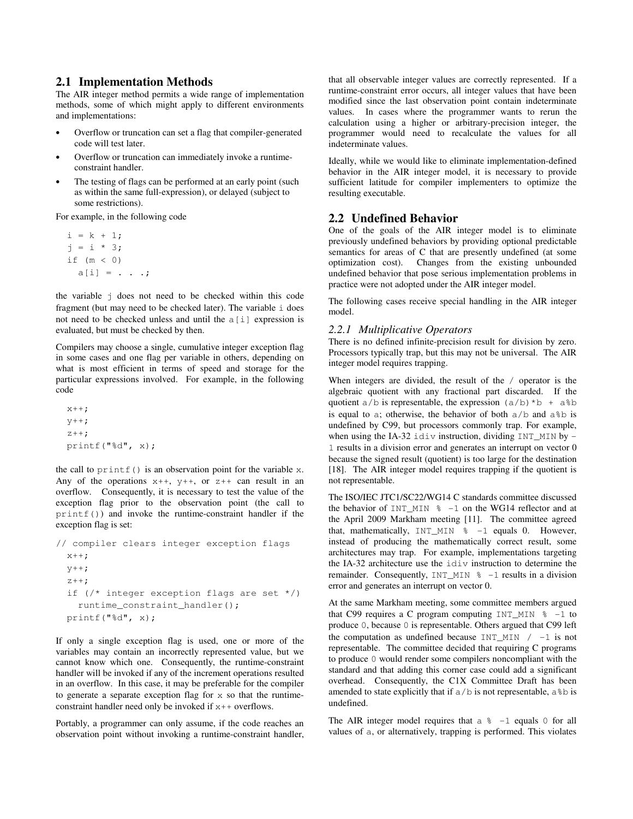### **2.1 Implementation Methods**

The AIR integer method permits a wide range of implementation methods, some of which might apply to different environments and implementations:

- Overflow or truncation can set a flag that compiler-generated code will test later.
- Overflow or truncation can immediately invoke a runtimeconstraint handler.
- The testing of flags can be performed at an early point (such as within the same full-expression), or delayed (subject to some restrictions).

For example, in the following code

```
i = k + 1;j = i * 3; if (m < 0) 
 a[i] = . . . ;
```
the variable j does not need to be checked within this code fragment (but may need to be checked later). The variable i does not need to be checked unless and until the a[i] expression is evaluated, but must be checked by then.

Compilers may choose a single, cumulative integer exception flag in some cases and one flag per variable in others, depending on what is most efficient in terms of speed and storage for the particular expressions involved. For example, in the following code

 $x++;$  $y++;$  $z++;$ printf("%d", x);

the call to  $print f()$  is an observation point for the variable x. Any of the operations  $x++$ ,  $y++$ , or  $z++$  can result in an overflow. Consequently, it is necessary to test the value of the exception flag prior to the observation point (the call to  $print f()$  and invoke the runtime-constraint handler if the exception flag is set:

```
// compiler clears integer exception flags 
  x++;y++;z++; if (/* integer exception flags are set */) 
     runtime_constraint_handler(); 
   printf("%d", x);
```
If only a single exception flag is used, one or more of the variables may contain an incorrectly represented value, but we cannot know which one. Consequently, the runtime-constraint handler will be invoked if any of the increment operations resulted in an overflow. In this case, it may be preferable for the compiler to generate a separate exception flag for  $x$  so that the runtimeconstraint handler need only be invoked if x++ overflows.

Portably, a programmer can only assume, if the code reaches an observation point without invoking a runtime-constraint handler, that all observable integer values are correctly represented. If a runtime-constraint error occurs, all integer values that have been modified since the last observation point contain indeterminate values. In cases where the programmer wants to rerun the calculation using a higher or arbitrary-precision integer, the programmer would need to recalculate the values for all indeterminate values.

Ideally, while we would like to eliminate implementation-defined behavior in the AIR integer model, it is necessary to provide sufficient latitude for compiler implementers to optimize the resulting executable.

### **2.2 Undefined Behavior**

One of the goals of the AIR integer model is to eliminate previously undefined behaviors by providing optional predictable semantics for areas of C that are presently undefined (at some optimization cost). Changes from the existing unbounded undefined behavior that pose serious implementation problems in practice were not adopted under the AIR integer model.

The following cases receive special handling in the AIR integer model.

#### *2.2.1 Multiplicative Operators*

There is no defined infinite-precision result for division by zero. Processors typically trap, but this may not be universal. The AIR integer model requires trapping.

When integers are divided, the result of the / operator is the algebraic quotient with any fractional part discarded. If the quotient  $a/b$  is representable, the expression  $(a/b)*b + a*b$ is equal to a; otherwise, the behavior of both  $a/b$  and  $a/b$  is undefined by C99, but processors commonly trap. For example, when using the IA-32 idiv instruction, dividing  $INT_MIN$  by -1 results in a division error and generates an interrupt on vector 0 because the signed result (quotient) is too large for the destination [18]. The AIR integer model requires trapping if the quotient is not representable.

The ISO/IEC JTC1/SC22/WG14 C standards committee discussed the behavior of INT MIN  $% -1$  on the WG14 reflector and at the April 2009 Markham meeting [11]. The committee agreed that, mathematically,  $INT_MIN \$  -1 equals 0. However, instead of producing the mathematically correct result, some architectures may trap. For example, implementations targeting the IA-32 architecture use the idiv instruction to determine the remainder. Consequently,  $INT_MIN \, % = 1$  results in a division error and generates an interrupt on vector 0.

At the same Markham meeting, some committee members argued that C99 requires a C program computing  $INT_MIN \$  -1 to produce 0, because 0 is representable. Others argued that C99 left the computation as undefined because  $INT\_MIN$  / -1 is not representable. The committee decided that requiring C programs to produce 0 would render some compilers noncompliant with the standard and that adding this corner case could add a significant overhead. Consequently, the C1X Committee Draft has been amended to state explicitly that if  $a/b$  is not representable,  $a\$  b is undefined.

The AIR integer model requires that a  $\approx -1$  equals 0 for all values of a, or alternatively, trapping is performed. This violates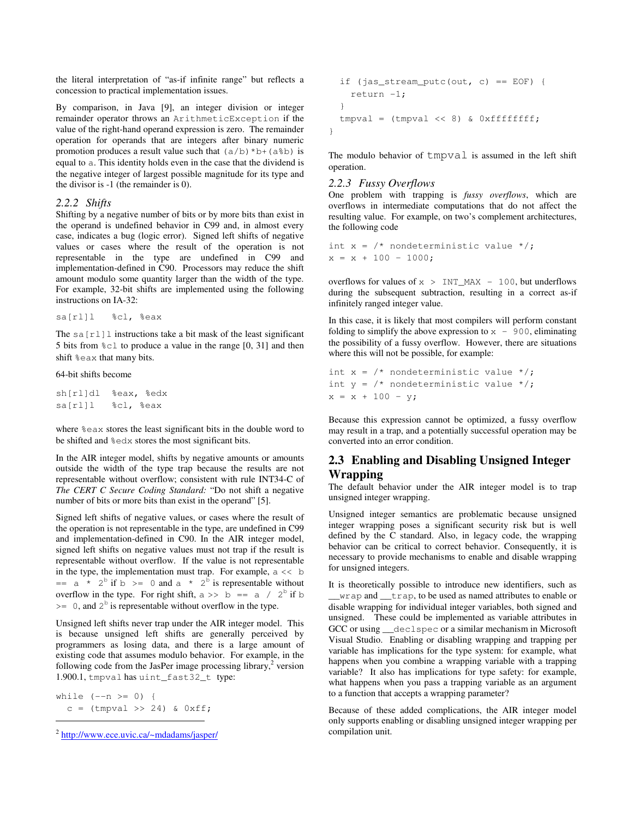the literal interpretation of "as-if infinite range" but reflects a concession to practical implementation issues.

By comparison, in Java [9], an integer division or integer remainder operator throws an ArithmeticException if the value of the right-hand operand expression is zero. The remainder operation for operands that are integers after binary numeric promotion produces a result value such that  $(a/b) * b + (a * b)$  is equal to a. This identity holds even in the case that the dividend is the negative integer of largest possible magnitude for its type and the divisor is -1 (the remainder is 0).

#### *2.2.2 Shifts*

Shifting by a negative number of bits or by more bits than exist in the operand is undefined behavior in C99 and, in almost every case, indicates a bug (logic error). Signed left shifts of negative values or cases where the result of the operation is not representable in the type are undefined in C99 and implementation-defined in C90. Processors may reduce the shift amount modulo some quantity larger than the width of the type. For example, 32-bit shifts are implemented using the following instructions on IA-32:

```
sa[rl]l %cl, %eax
```
The sa $[r\perp]$  instructions take a bit mask of the least significant 5 bits from %cl to produce a value in the range [0, 31] and then shift %eax that many bits.

#### 64-bit shifts become

sh[rl]dl %eax, %edx sa[rl]l %cl, %eax

where %eax stores the least significant bits in the double word to be shifted and %edx stores the most significant bits.

In the AIR integer model, shifts by negative amounts or amounts outside the width of the type trap because the results are not representable without overflow; consistent with rule INT34-C of *The CERT C Secure Coding Standard:* "Do not shift a negative number of bits or more bits than exist in the operand" [5].

Signed left shifts of negative values, or cases where the result of the operation is not representable in the type, are undefined in C99 and implementation-defined in C90. In the AIR integer model, signed left shifts on negative values must not trap if the result is representable without overflow. If the value is not representable in the type, the implementation must trap. For example,  $a \ll b$  $=$  a  $\star$  2<sup>b</sup> if b >= 0 and a  $\star$  2<sup>b</sup> is representable without overflow in the type. For right shift,  $a \gg b = a / 2^b$  if b  $\geq 0$ , and  $2^b$  is representable without overflow in the type.

Unsigned left shifts never trap under the AIR integer model. This is because unsigned left shifts are generally perceived by programmers as losing data, and there is a large amount of existing code that assumes modulo behavior. For example, in the following code from the JasPer image processing library, $2$  version 1.900.1, tmpval has uint\_fast32\_t type:

while  $(-n \geq 0)$  {  $c = (tmpval \gg 24) \& 0xff;$ 

1

```
if (jas_stream_putc(out, c) == EOF) {
     return -1; 
   } 
  tmpval = (tmpval << 8) & 0xffffffff; 
}
```
The modulo behavior of tmpval is assumed in the left shift operation.

### *2.2.3 Fussy Overflows*

One problem with trapping is *fussy overflows*, which are overflows in intermediate computations that do not affect the resulting value. For example, on two's complement architectures, the following code

```
int x = \frac{1}{x} nondeterministic value \frac{x}{i}x = x + 100 - 1000;
```
overflows for values of  $x > INT$  MAX - 100, but underflows during the subsequent subtraction, resulting in a correct as-if infinitely ranged integer value.

In this case, it is likely that most compilers will perform constant folding to simplify the above expression to  $x - 900$ , eliminating the possibility of a fussy overflow. However, there are situations where this will not be possible, for example:

```
int x = \frac{1}{x} nondeterministic value \frac{x}{i}int y = \frac{*}{*} nondeterministic value */;x = x + 100 - y;
```
Because this expression cannot be optimized, a fussy overflow may result in a trap, and a potentially successful operation may be converted into an error condition.

# **2.3 Enabling and Disabling Unsigned Integer Wrapping**

The default behavior under the AIR integer model is to trap unsigned integer wrapping.

Unsigned integer semantics are problematic because unsigned integer wrapping poses a significant security risk but is well defined by the C standard. Also, in legacy code, the wrapping behavior can be critical to correct behavior. Consequently, it is necessary to provide mechanisms to enable and disable wrapping for unsigned integers.

It is theoretically possible to introduce new identifiers, such as \_\_wrap and \_\_trap, to be used as named attributes to enable or disable wrapping for individual integer variables, both signed and unsigned. These could be implemented as variable attributes in GCC or using \_\_declspec or a similar mechanism in Microsoft Visual Studio. Enabling or disabling wrapping and trapping per variable has implications for the type system: for example, what happens when you combine a wrapping variable with a trapping variable? It also has implications for type safety: for example, what happens when you pass a trapping variable as an argument to a function that accepts a wrapping parameter?

Because of these added complications, the AIR integer model only supports enabling or disabling unsigned integer wrapping per compilation unit.

<sup>2</sup> http://www.ece.uvic.ca/~mdadams/jasper/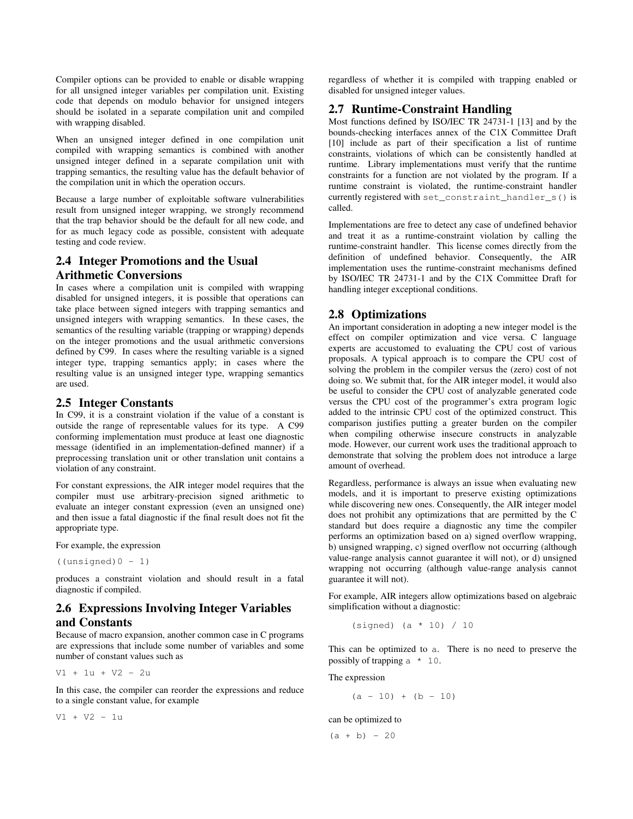Compiler options can be provided to enable or disable wrapping for all unsigned integer variables per compilation unit. Existing code that depends on modulo behavior for unsigned integers should be isolated in a separate compilation unit and compiled with wrapping disabled.

When an unsigned integer defined in one compilation unit compiled with wrapping semantics is combined with another unsigned integer defined in a separate compilation unit with trapping semantics, the resulting value has the default behavior of the compilation unit in which the operation occurs.

Because a large number of exploitable software vulnerabilities result from unsigned integer wrapping, we strongly recommend that the trap behavior should be the default for all new code, and for as much legacy code as possible, consistent with adequate testing and code review.

# **2.4 Integer Promotions and the Usual Arithmetic Conversions**

In cases where a compilation unit is compiled with wrapping disabled for unsigned integers, it is possible that operations can take place between signed integers with trapping semantics and unsigned integers with wrapping semantics. In these cases, the semantics of the resulting variable (trapping or wrapping) depends on the integer promotions and the usual arithmetic conversions defined by C99. In cases where the resulting variable is a signed integer type, trapping semantics apply; in cases where the resulting value is an unsigned integer type, wrapping semantics are used.

# **2.5 Integer Constants**

In C99, it is a constraint violation if the value of a constant is outside the range of representable values for its type. A C99 conforming implementation must produce at least one diagnostic message (identified in an implementation-defined manner) if a preprocessing translation unit or other translation unit contains a violation of any constraint.

For constant expressions, the AIR integer model requires that the compiler must use arbitrary-precision signed arithmetic to evaluate an integer constant expression (even an unsigned one) and then issue a fatal diagnostic if the final result does not fit the appropriate type.

For example, the expression

 $($ (unsigned) $0 - 1)$ 

produces a constraint violation and should result in a fatal diagnostic if compiled.

# **2.6 Expressions Involving Integer Variables and Constants**

Because of macro expansion, another common case in C programs are expressions that include some number of variables and some number of constant values such as

V1 + 1u + V2 - 2u

In this case, the compiler can reorder the expressions and reduce to a single constant value, for example

V1 + V2 - 1u

regardless of whether it is compiled with trapping enabled or disabled for unsigned integer values.

# **2.7 Runtime-Constraint Handling**

Most functions defined by ISO/IEC TR 24731-1 [13] and by the bounds-checking interfaces annex of the C1X Committee Draft [10] include as part of their specification a list of runtime constraints, violations of which can be consistently handled at runtime. Library implementations must verify that the runtime constraints for a function are not violated by the program. If a runtime constraint is violated, the runtime-constraint handler currently registered with set\_constraint\_handler\_s() is called.

Implementations are free to detect any case of undefined behavior and treat it as a runtime-constraint violation by calling the runtime-constraint handler. This license comes directly from the definition of undefined behavior. Consequently, the AIR implementation uses the runtime-constraint mechanisms defined by ISO/IEC TR 24731-1 and by the C1X Committee Draft for handling integer exceptional conditions.

# **2.8 Optimizations**

An important consideration in adopting a new integer model is the effect on compiler optimization and vice versa. C language experts are accustomed to evaluating the CPU cost of various proposals. A typical approach is to compare the CPU cost of solving the problem in the compiler versus the (zero) cost of not doing so. We submit that, for the AIR integer model, it would also be useful to consider the CPU cost of analyzable generated code versus the CPU cost of the programmer's extra program logic added to the intrinsic CPU cost of the optimized construct. This comparison justifies putting a greater burden on the compiler when compiling otherwise insecure constructs in analyzable mode. However, our current work uses the traditional approach to demonstrate that solving the problem does not introduce a large amount of overhead.

Regardless, performance is always an issue when evaluating new models, and it is important to preserve existing optimizations while discovering new ones. Consequently, the AIR integer model does not prohibit any optimizations that are permitted by the C standard but does require a diagnostic any time the compiler performs an optimization based on a) signed overflow wrapping, b) unsigned wrapping, c) signed overflow not occurring (although value-range analysis cannot guarantee it will not), or d) unsigned wrapping not occurring (although value-range analysis cannot guarantee it will not).

For example, AIR integers allow optimizations based on algebraic simplification without a diagnostic:

(signed) (a \* 10) / 10

This can be optimized to a. There is no need to preserve the possibly of trapping  $a * 10$ .

The expression

$$
(a - 10) + (b - 10)
$$

#### can be optimized to

 $(a + b) - 20$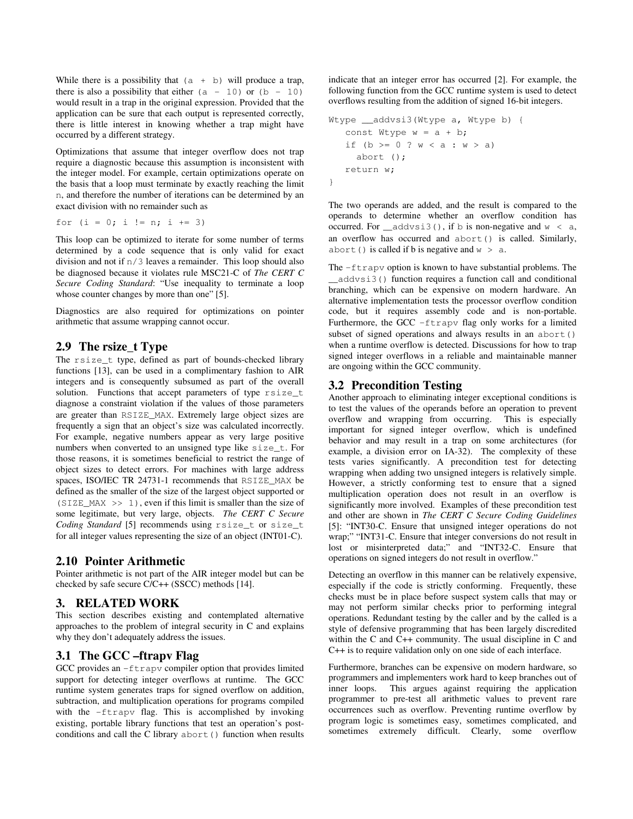While there is a possibility that  $(a + b)$  will produce a trap, there is also a possibility that either  $(a - 10)$  or  $(b - 10)$ would result in a trap in the original expression. Provided that the application can be sure that each output is represented correctly, there is little interest in knowing whether a trap might have occurred by a different strategy.

Optimizations that assume that integer overflow does not trap require a diagnostic because this assumption is inconsistent with the integer model. For example, certain optimizations operate on the basis that a loop must terminate by exactly reaching the limit n, and therefore the number of iterations can be determined by an exact division with no remainder such as

for  $(i = 0; i != n; i += 3)$ 

This loop can be optimized to iterate for some number of terms determined by a code sequence that is only valid for exact division and not if n/3 leaves a remainder. This loop should also be diagnosed because it violates rule MSC21-C of *The CERT C Secure Coding Standard*: "Use inequality to terminate a loop whose counter changes by more than one" [5].

Diagnostics are also required for optimizations on pointer arithmetic that assume wrapping cannot occur.

# **2.9 The rsize\_t Type**

The rsize\_t type, defined as part of bounds-checked library functions [13], can be used in a complimentary fashion to AIR integers and is consequently subsumed as part of the overall solution. Functions that accept parameters of type rsize\_t diagnose a constraint violation if the values of those parameters are greater than RSIZE\_MAX. Extremely large object sizes are frequently a sign that an object's size was calculated incorrectly. For example, negative numbers appear as very large positive numbers when converted to an unsigned type like size\_t. For those reasons, it is sometimes beneficial to restrict the range of object sizes to detect errors. For machines with large address spaces, ISO/IEC TR 24731-1 recommends that RSIZE\_MAX be defined as the smaller of the size of the largest object supported or (SIZE MAX  $\gg 1$ ), even if this limit is smaller than the size of some legitimate, but very large, objects. *The CERT C Secure Coding Standard* [5] recommends using rsize\_t or size\_t for all integer values representing the size of an object (INT01-C).

## **2.10 Pointer Arithmetic**

Pointer arithmetic is not part of the AIR integer model but can be checked by safe secure C/C++ (SSCC) methods [14].

## **3. RELATED WORK**

This section describes existing and contemplated alternative approaches to the problem of integral security in C and explains why they don't adequately address the issues.

## **3.1 The GCC –ftrapv Flag**

GCC provides an -ftrapv compiler option that provides limited support for detecting integer overflows at runtime. The GCC runtime system generates traps for signed overflow on addition, subtraction, and multiplication operations for programs compiled with the -ftrapv flag. This is accomplished by invoking existing, portable library functions that test an operation's postconditions and call the C library abort() function when results indicate that an integer error has occurred [2]. For example, the following function from the GCC runtime system is used to detect overflows resulting from the addition of signed 16-bit integers.

```
Wtype __addvsi3(Wtype a, Wtype b) {
   const Wtype w = a + b;
   if (b \ge 0 ? w < a : w > a) abort (); 
    return w; 
}
```
The two operands are added, and the result is compared to the operands to determine whether an overflow condition has occurred. For  $addx\sin 3(t)$ , if b is non-negative and  $w < a$ , an overflow has occurred and abort() is called. Similarly, abort() is called if b is negative and  $w > a$ .

The  $-ftr$ apv option is known to have substantial problems. The \_\_addvsi3() function requires a function call and conditional branching, which can be expensive on modern hardware. An alternative implementation tests the processor overflow condition code, but it requires assembly code and is non-portable. Furthermore, the GCC –ftrapv flag only works for a limited subset of signed operations and always results in an abort() when a runtime overflow is detected. Discussions for how to trap signed integer overflows in a reliable and maintainable manner are ongoing within the GCC community.

# **3.2 Precondition Testing**

Another approach to eliminating integer exceptional conditions is to test the values of the operands before an operation to prevent overflow and wrapping from occurring. This is especially important for signed integer overflow, which is undefined behavior and may result in a trap on some architectures (for example, a division error on IA-32). The complexity of these tests varies significantly. A precondition test for detecting wrapping when adding two unsigned integers is relatively simple. However, a strictly conforming test to ensure that a signed multiplication operation does not result in an overflow is significantly more involved. Examples of these precondition test and other are shown in *The CERT C Secure Coding Guidelines* [5]: "INT30-C. Ensure that unsigned integer operations do not wrap;" "INT31-C. Ensure that integer conversions do not result in lost or misinterpreted data;" and "INT32-C. Ensure that operations on signed integers do not result in overflow."

Detecting an overflow in this manner can be relatively expensive, especially if the code is strictly conforming. Frequently, these checks must be in place before suspect system calls that may or may not perform similar checks prior to performing integral operations. Redundant testing by the caller and by the called is a style of defensive programming that has been largely discredited within the C and C++ community. The usual discipline in C and C++ is to require validation only on one side of each interface.

Furthermore, branches can be expensive on modern hardware, so programmers and implementers work hard to keep branches out of inner loops. This argues against requiring the application programmer to pre-test all arithmetic values to prevent rare occurrences such as overflow. Preventing runtime overflow by program logic is sometimes easy, sometimes complicated, and sometimes extremely difficult. Clearly, some overflow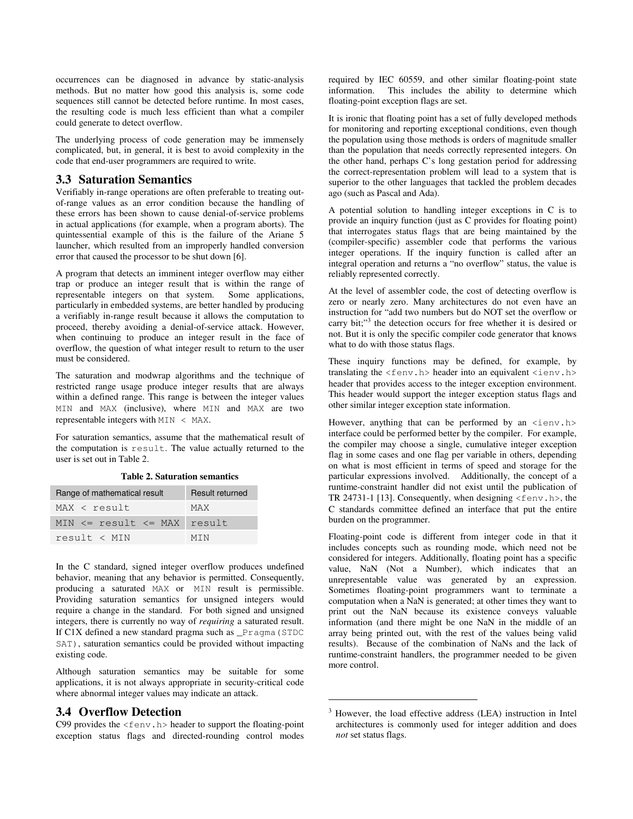occurrences can be diagnosed in advance by static-analysis methods. But no matter how good this analysis is, some code sequences still cannot be detected before runtime. In most cases, the resulting code is much less efficient than what a compiler could generate to detect overflow.

The underlying process of code generation may be immensely complicated, but, in general, it is best to avoid complexity in the code that end-user programmers are required to write.

# **3.3 Saturation Semantics**

Verifiably in-range operations are often preferable to treating outof-range values as an error condition because the handling of these errors has been shown to cause denial-of-service problems in actual applications (for example, when a program aborts). The quintessential example of this is the failure of the Ariane 5 launcher, which resulted from an improperly handled conversion error that caused the processor to be shut down [6].

A program that detects an imminent integer overflow may either trap or produce an integer result that is within the range of representable integers on that system. Some applications, particularly in embedded systems, are better handled by producing a verifiably in-range result because it allows the computation to proceed, thereby avoiding a denial-of-service attack. However, when continuing to produce an integer result in the face of overflow, the question of what integer result to return to the user must be considered.

The saturation and modwrap algorithms and the technique of restricted range usage produce integer results that are always within a defined range. This range is between the integer values MIN and MAX (inclusive), where MIN and MAX are two representable integers with MIN < MAX.

For saturation semantics, assume that the mathematical result of the computation is result. The value actually returned to the user is set out in Table 2.

|  | <b>Table 2. Saturation semantics</b> |  |
|--|--------------------------------------|--|
|--|--------------------------------------|--|

| Range of mathematical result      | Result returned |
|-----------------------------------|-----------------|
| MAX < result                      | MAX             |
| MIN $\le$ result $\le$ MAX result |                 |
| result < MIN                      | MTN             |

In the C standard, signed integer overflow produces undefined behavior, meaning that any behavior is permitted. Consequently, producing a saturated MAX or MIN result is permissible. Providing saturation semantics for unsigned integers would require a change in the standard. For both signed and unsigned integers, there is currently no way of *requiring* a saturated result. If C1X defined a new standard pragma such as \_Pragma(STDC SAT), saturation semantics could be provided without impacting existing code.

Although saturation semantics may be suitable for some applications, it is not always appropriate in security-critical code where abnormal integer values may indicate an attack.

## **3.4 Overflow Detection**

C99 provides the  $\leq$  fenv.h> header to support the floating-point exception status flags and directed-rounding control modes required by IEC 60559, and other similar floating-point state information. This includes the ability to determine which floating-point exception flags are set.

It is ironic that floating point has a set of fully developed methods for monitoring and reporting exceptional conditions, even though the population using those methods is orders of magnitude smaller than the population that needs correctly represented integers. On the other hand, perhaps C's long gestation period for addressing the correct-representation problem will lead to a system that is superior to the other languages that tackled the problem decades ago (such as Pascal and Ada).

A potential solution to handling integer exceptions in C is to provide an inquiry function (just as C provides for floating point) that interrogates status flags that are being maintained by the (compiler-specific) assembler code that performs the various integer operations. If the inquiry function is called after an integral operation and returns a "no overflow" status, the value is reliably represented correctly.

At the level of assembler code, the cost of detecting overflow is zero or nearly zero. Many architectures do not even have an instruction for "add two numbers but do NOT set the overflow or carry bit;"<sup>3</sup> the detection occurs for free whether it is desired or not. But it is only the specific compiler code generator that knows what to do with those status flags.

These inquiry functions may be defined, for example, by translating the  $\langle femv,h\rangle$  header into an equivalent  $\langle ienv,h\rangle$ header that provides access to the integer exception environment. This header would support the integer exception status flags and other similar integer exception state information.

However, anything that can be performed by an  $\langle i$  env.h> interface could be performed better by the compiler. For example, the compiler may choose a single, cumulative integer exception flag in some cases and one flag per variable in others, depending on what is most efficient in terms of speed and storage for the particular expressions involved. Additionally, the concept of a runtime-constraint handler did not exist until the publication of TR 24731-1 [13]. Consequently, when designing  $\leq$  fenv.h>, the C standards committee defined an interface that put the entire burden on the programmer.

Floating-point code is different from integer code in that it includes concepts such as rounding mode, which need not be considered for integers. Additionally, floating point has a specific value, NaN (Not a Number), which indicates that an unrepresentable value was generated by an expression. Sometimes floating-point programmers want to terminate a computation when a NaN is generated; at other times they want to print out the NaN because its existence conveys valuable information (and there might be one NaN in the middle of an array being printed out, with the rest of the values being valid results). Because of the combination of NaNs and the lack of runtime-constraint handlers, the programmer needed to be given more control.

1

<sup>3</sup> However, the load effective address (LEA) instruction in Intel architectures is commonly used for integer addition and does *not* set status flags.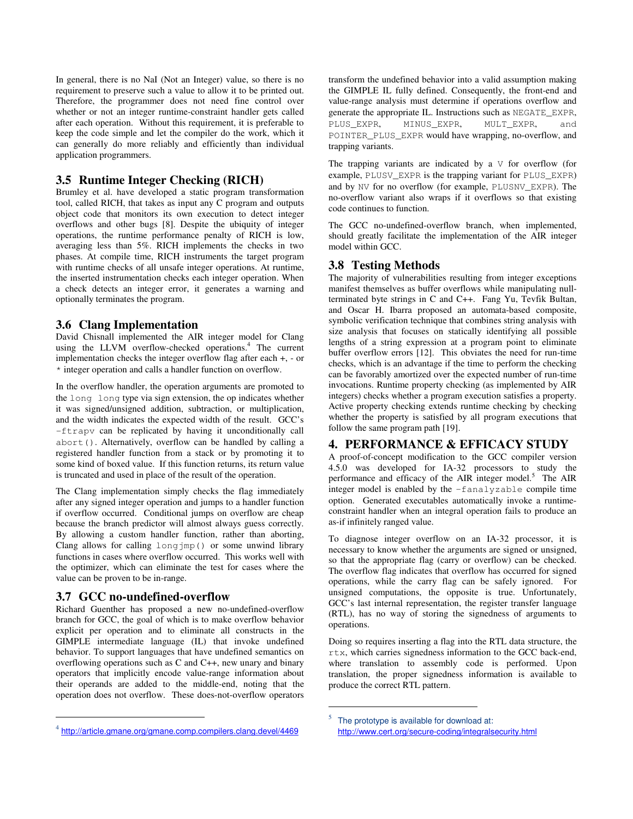In general, there is no NaI (Not an Integer) value, so there is no requirement to preserve such a value to allow it to be printed out. Therefore, the programmer does not need fine control over whether or not an integer runtime-constraint handler gets called after each operation. Without this requirement, it is preferable to keep the code simple and let the compiler do the work, which it can generally do more reliably and efficiently than individual application programmers.

# **3.5 Runtime Integer Checking (RICH)**

Brumley et al. have developed a static program transformation tool, called RICH, that takes as input any C program and outputs object code that monitors its own execution to detect integer overflows and other bugs [8]. Despite the ubiquity of integer operations, the runtime performance penalty of RICH is low, averaging less than 5%. RICH implements the checks in two phases. At compile time, RICH instruments the target program with runtime checks of all unsafe integer operations. At runtime, the inserted instrumentation checks each integer operation. When a check detects an integer error, it generates a warning and optionally terminates the program.

### **3.6 Clang Implementation**

David Chisnall implemented the AIR integer model for Clang using the LLVM overflow-checked operations.<sup>4</sup> The current implementation checks the integer overflow flag after each +, - or \* integer operation and calls a handler function on overflow.

In the overflow handler, the operation arguments are promoted to the long long type via sign extension, the op indicates whether it was signed/unsigned addition, subtraction, or multiplication, and the width indicates the expected width of the result. GCC's -ftrapv can be replicated by having it unconditionally call abort(). Alternatively, overflow can be handled by calling a registered handler function from a stack or by promoting it to some kind of boxed value. If this function returns, its return value is truncated and used in place of the result of the operation.

The Clang implementation simply checks the flag immediately after any signed integer operation and jumps to a handler function if overflow occurred. Conditional jumps on overflow are cheap because the branch predictor will almost always guess correctly. By allowing a custom handler function, rather than aborting, Clang allows for calling longjmp() or some unwind library functions in cases where overflow occurred. This works well with the optimizer, which can eliminate the test for cases where the value can be proven to be in-range.

### **3.7 GCC no-undefined-overflow**

1

Richard Guenther has proposed a new no-undefined-overflow branch for GCC, the goal of which is to make overflow behavior explicit per operation and to eliminate all constructs in the GIMPLE intermediate language (IL) that invoke undefined behavior. To support languages that have undefined semantics on overflowing operations such as C and C++, new unary and binary operators that implicitly encode value-range information about their operands are added to the middle-end, noting that the operation does not overflow. These does-not-overflow operators

transform the undefined behavior into a valid assumption making the GIMPLE IL fully defined. Consequently, the front-end and value-range analysis must determine if operations overflow and generate the appropriate IL. Instructions such as NEGATE\_EXPR, PLUS\_EXPR, MINUS\_EXPR, MULT\_EXPR, and POINTER\_PLUS\_EXPR would have wrapping, no-overflow, and trapping variants.

The trapping variants are indicated by a  $\nabla$  for overflow (for example, PLUSV\_EXPR is the trapping variant for PLUS\_EXPR) and by NV for no overflow (for example, PLUSNV\_EXPR). The no-overflow variant also wraps if it overflows so that existing code continues to function.

The GCC no-undefined-overflow branch, when implemented, should greatly facilitate the implementation of the AIR integer model within GCC.

### **3.8 Testing Methods**

The majority of vulnerabilities resulting from integer exceptions manifest themselves as buffer overflows while manipulating nullterminated byte strings in C and C++. Fang Yu, Tevfik Bultan, and Oscar H. Ibarra proposed an automata-based composite, symbolic verification technique that combines string analysis with size analysis that focuses on statically identifying all possible lengths of a string expression at a program point to eliminate buffer overflow errors [12]. This obviates the need for run-time checks, which is an advantage if the time to perform the checking can be favorably amortized over the expected number of run-time invocations. Runtime property checking (as implemented by AIR integers) checks whether a program execution satisfies a property. Active property checking extends runtime checking by checking whether the property is satisfied by all program executions that follow the same program path [19].

## **4. PERFORMANCE & EFFICACY STUDY**

A proof-of-concept modification to the GCC compiler version 4.5.0 was developed for IA-32 processors to study the performance and efficacy of the AIR integer model.<sup>5</sup> The AIR integer model is enabled by the –fanalyzable compile time option. Generated executables automatically invoke a runtimeconstraint handler when an integral operation fails to produce an as-if infinitely ranged value.

To diagnose integer overflow on an IA-32 processor, it is necessary to know whether the arguments are signed or unsigned, so that the appropriate flag (carry or overflow) can be checked. The overflow flag indicates that overflow has occurred for signed operations, while the carry flag can be safely ignored. For unsigned computations, the opposite is true. Unfortunately, GCC's last internal representation, the register transfer language (RTL), has no way of storing the signedness of arguments to operations.

Doing so requires inserting a flag into the RTL data structure, the rtx, which carries signedness information to the GCC back-end, where translation to assembly code is performed. Upon translation, the proper signedness information is available to produce the correct RTL pattern.

1

<sup>4</sup> http://article.gmane.org/gmane.comp.compilers.clang.devel/4469

<sup>5</sup> The prototype is available for download at: http://www.cert.org/secure-coding/integralsecurity.html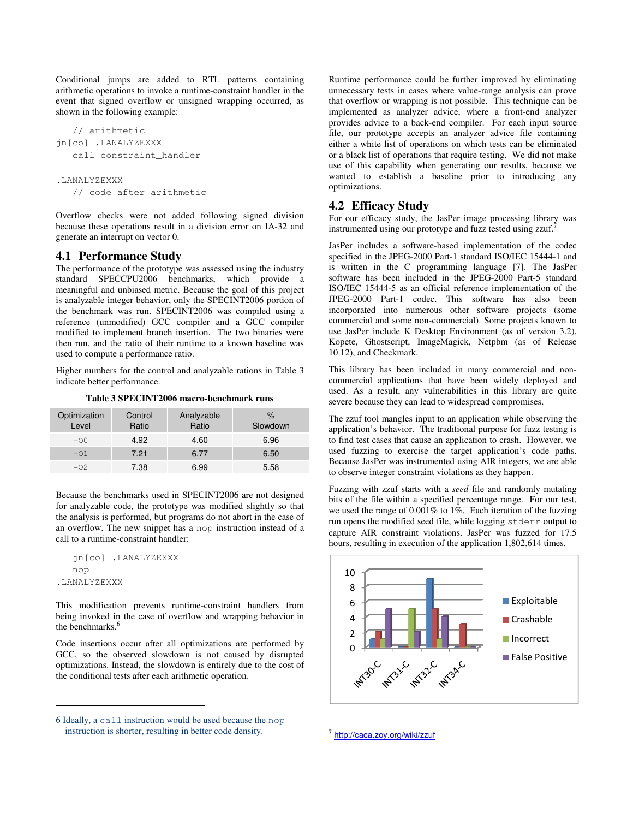Conditional jumps are added to RTL patterns containing arithmetic operations to invoke a runtime-constraint handler in the event that signed overflow or unsigned wrapping occurred, as shown in the following example: nditional jumps are added to RTL patterns containing<br>hmetic operations to invoke a runtime-constraint handler in the<br>nt that signed overflow or unsigned wrapping occurred, as<br>wn in the following example:<br>// arithmetic<br>[co]

```
 // arithmetic 
jn[co] .LANALYZEXXX 
    call constraint_handler 
.LANALYZEXXX 
    // code after arithmetic
```
Overflow checks were not added following signed division because these operations result in a division error on IA generate an interrupt on vector 0.

# **4.1 Performance Study**

The performance of the prototype was assessed using the industry standard SPECCPU2006 benchmarks, which provide a meaningful and unbiased metric. Because the goal of this project is analyzable integer behavior, only the SPECINT2006 portion of the benchmark was run. SPECINT2006 was compiled using a reference (unmodified) GCC compiler and a GCC compiler modified to implement branch insertion. The two binaries were then run, and the ratio of their runtime to a known baseline was used to compute a performance ratio. e performance of the prototype was assessed using the industry industry industry of SPECCPU2006 benchmarks, which provide a eaningful and unbiased metric. Because the goal of this project analyzable integer behavior, only

Higher numbers for the control and analyzable rations in Table 3 indicate better performance.

**Table 3 SPECINT2006 macro-benchmark runs benchmark** 

| Optimization<br>Level | Control<br>Ratio | Analyzable<br>Ratio | $\%$<br>Slowdown |
|-----------------------|------------------|---------------------|------------------|
| $-00$                 | 4.92             | 4.60                | 6.96             |
| $-01$                 | 7.21             | 6.77                | 6.50             |
| $-02.$                | 7.38             | 6.99                | 5.58             |

Because the benchmarks used in SPECINT2006 are not designed for analyzable code, the prototype was modified slightly so that the analysis is performed, but programs do not abort in the case of an overflow. The new snippet has a nop instruction instead of a call to a runtime-constraint handler: ause the benchmarks used in SPECINT2006 are not designal malyzable code, the prototype was modified slightly so the malysis is performed, but programs do not abort in the case verflow. The new snippet has a nop instruction

```
 jn[co] .LANALYZEXXX 
    nop 
.LANALYZEXXX
```
1

This modification prevents runtime-constraint handlers from being invoked in the case of overflow and wrapping behavior in the benchmarks.<sup>6</sup>

Code insertions occur after all optimizations are performed by GCC, so the observed slowdown is not caused by disrupted optimizations. Instead, the slowdown is entirely due to the cost of the conditional tests after each arithmetic operation.

unnecessary tests in cases where value-range analysis can prove that overflow or wrapping is not possible. This technique can be implemented as analyzer advice, where a front-end analyzer provides advice to a back-end compiler. For each input source file, our prototype accepts an analyzer advice file containing either a white list of operations on which tests can be eliminated file, our prototype accepts an analyzer advice file containing<br>either a white list of operations on which tests can be eliminated<br>or a black list of operations that require testing. We did not make use of this capability when generating our results, because we wanted to establish a baseline prior to introducing any optimizations. wanted to establish a baseline prior to introducing any<br> **4.2 Efficacy Study**<br>
For our efficacy study, the JasPer image processing library was Runtime performance could be further improved by eliminating

### **4.2 Efficacy Study**

instrumented using our prototype and fuzz tested using  $zzut$ .<sup>7</sup>

JasPer includes a software-based implementation of the codec JasPer includes a software-based implementation of the codec<br>specified in the JPEG-2000 Part-1 standard ISO/IEC 15444-1 and is written in the C programming language [7]. The JasPer is written in the C programming language [7]. The JasPer<br>software has been included in the JPEG-2000 Part-5 standard ISO/IEC 15444-5 as an official reference implementation of the JPEG-2000 Part-1 codec. This software has also been incorporated into numerous other software projects (some commercial and some non-commercial). Some projects known to use JasPer include K Desktop Environment (as of version 3.2) Kopete, Ghostscript, ImageMagick, Netpbm (as of Release 10.12), and Checkmark. as an official reference implementation of the<br>1 codec. This software has also been<br>numerous other software projects (some<br>non-commercial). Some projects known to<br>2. K Desktop Environment (as of version 3.2),

This library has been included in many commercial and noncommercial applications that have been widely deployed and used. As a result, any vulnerabilities in this library are quite severe because they can lead to widespread compromises.

The zzuf tool mangles input to an application while observing the application's behavior. The traditional purpose for fuzz testing is to find test cases that cause an application to crash. However, we used fuzzing to exercise the target application's code paths. Because JasPer was instrumented using AIR integers, we are able to observe integer constraint violations as they happen. commercial applications that have been widely deployed and used. As a result, any vulnerabilities in this library are quite severe because they can lead to widespread compromises.<br>The zzuf tool mangles input to an applicat

Fuzzing with zzuf starts with a *seed* file and bits of the file within a specified percentage range. For our test, bits of the file within a specified percentage range. For our test, we used the range of  $0.001\%$  to  $1\%$ . Each iteration of the fuzzing run opens the modified seed file, while logging stderr output to capture AIR constraint violations. JasPer was fuzzed for 17.5 hours, resulting in execution of the application 1,802,614 times.



<sup>7</sup> http://caca.zoy.org/wiki/zzuf

1

<sup>6</sup> Ideally, a call instruction would be used because the instruction is shorter, resulting in better code density.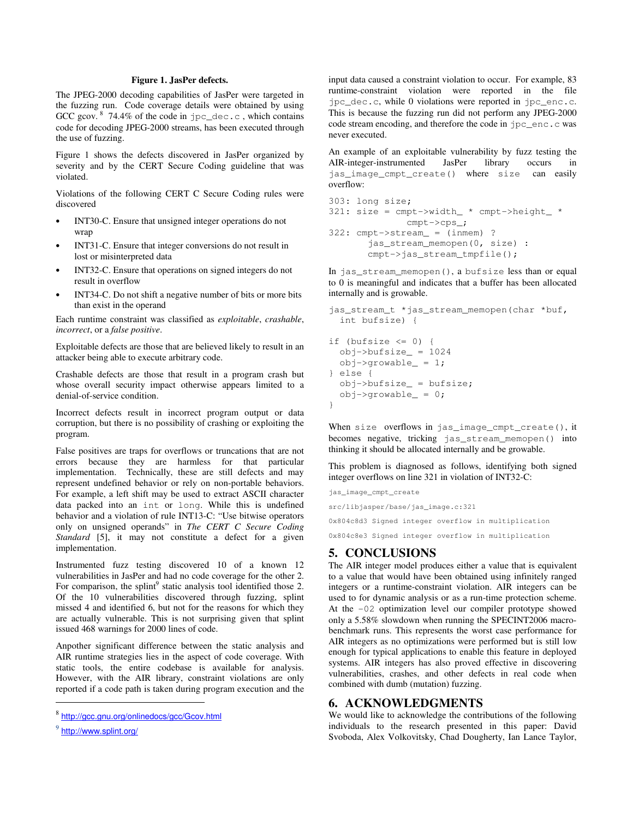#### **Figure 1. JasPer defects.**

The JPEG-2000 decoding capabilities of JasPer were targeted in the fuzzing run. Code coverage details were obtained by using GCC gcov.  $8\,$  74.4% of the code in jpc\_dec.c, which contains code for decoding JPEG-2000 streams, has been executed through the use of fuzzing.

Figure 1 shows the defects discovered in JasPer organized by severity and by the CERT Secure Coding guideline that was violated.

Violations of the following CERT C Secure Coding rules were discovered

- INT30-C. Ensure that unsigned integer operations do not wrap
- INT31-C. Ensure that integer conversions do not result in lost or misinterpreted data
- INT32-C. Ensure that operations on signed integers do not result in overflow
- INT34-C. Do not shift a negative number of bits or more bits than exist in the operand

Each runtime constraint was classified as *exploitable*, *crashable*, *incorrect*, or a *false positive*.

Exploitable defects are those that are believed likely to result in an attacker being able to execute arbitrary code.

Crashable defects are those that result in a program crash but whose overall security impact otherwise appears limited to a denial-of-service condition.

Incorrect defects result in incorrect program output or data corruption, but there is no possibility of crashing or exploiting the program.

False positives are traps for overflows or truncations that are not errors because they are harmless for that particular implementation. Technically, these are still defects and may represent undefined behavior or rely on non-portable behaviors. For example, a left shift may be used to extract ASCII character data packed into an int or long. While this is undefined behavior and a violation of rule INT13-C: "Use bitwise operators only on unsigned operands" in *The CERT C Secure Coding Standard* [5], it may not constitute a defect for a given implementation.

Instrumented fuzz testing discovered 10 of a known 12 vulnerabilities in JasPer and had no code coverage for the other 2. For comparison, the splint<sup>9</sup> static analysis tool identified those 2. Of the 10 vulnerabilities discovered through fuzzing, splint missed 4 and identified 6, but not for the reasons for which they are actually vulnerable. This is not surprising given that splint issued 468 warnings for 2000 lines of code.

Anpother significant difference between the static analysis and AIR runtime strategies lies in the aspect of code coverage. With static tools, the entire codebase is available for analysis. However, with the AIR library, constraint violations are only reported if a code path is taken during program execution and the

1

input data caused a constraint violation to occur. For example, 83 runtime-constraint violation were reported in the file jpc\_dec.c, while 0 violations were reported in jpc\_enc.c. This is because the fuzzing run did not perform any JPEG-2000 code stream encoding, and therefore the code in jpc\_enc.c was never executed.

An example of an exploitable vulnerability by fuzz testing the AIR-integer-instrumented JasPer library occurs in jas\_image\_cmpt\_create() where size can easily overflow:

```
303: long size; 
321: size = cmpt->width_ * cmpt->height_ * 
               cmpt->cps_; 
322: cmpt->stream_ = (inmem) ? 
       jas stream memopen(0, size) :
        cmpt->jas_stream_tmpfile();
```
In jas\_stream\_memopen(), a bufsize less than or equal to 0 is meaningful and indicates that a buffer has been allocated internally and is growable.

```
jas_stream_t *jas_stream_memopen(char *buf, 
   int bufsize) { 
if (bufsize \leq 0) {
   obj->bufsize_ = 1024 
   obj->growable_ = 1; 
} else { 
   obj->bufsize_ = bufsize; 
   obj->growable_ = 0; 
}
```
When size overflows in jas\_image\_cmpt\_create(), it becomes negative, tricking jas\_stream\_memopen() into thinking it should be allocated internally and be growable.

This problem is diagnosed as follows, identifying both signed integer overflows on line 321 in violation of INT32-C:

```
jas_image_cmpt_create 
src/libjasper/base/jas_image.c:321 
0x804c8d3 Signed integer overflow in multiplication
0x804c8e3 Signed integer overflow in multiplication
```
# **5. CONCLUSIONS**

The AIR integer model produces either a value that is equivalent to a value that would have been obtained using infinitely ranged integers or a runtime-constraint violation. AIR integers can be used to for dynamic analysis or as a run-time protection scheme. At the -02 optimization level our compiler prototype showed only a 5.58% slowdown when running the SPECINT2006 macrobenchmark runs. This represents the worst case performance for AIR integers as no optimizations were performed but is still low enough for typical applications to enable this feature in deployed systems. AIR integers has also proved effective in discovering vulnerabilities, crashes, and other defects in real code when combined with dumb (mutation) fuzzing.

#### **6. ACKNOWLEDGMENTS**

We would like to acknowledge the contributions of the following individuals to the research presented in this paper: David Svoboda, Alex Volkovitsky, Chad Dougherty, Ian Lance Taylor,

<sup>8</sup> http://gcc.gnu.org/onlinedocs/gcc/Gcov.html

<sup>9</sup> http://www.splint.org/